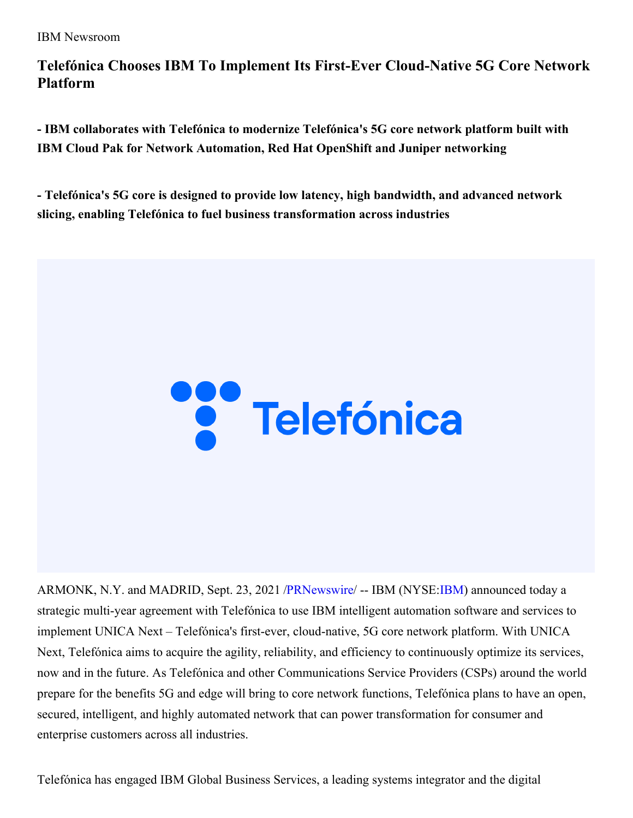**Telefónica Chooses IBM To Implement Its First-Ever Cloud-Native 5G Core Network Platform**

**- IBM collaborates with Telefónica to modernize Telefónica's 5G core network platform built with IBM Cloud Pak for Network Automation, Red Hat OpenShift and Juniper networking**

**- Telefónica's 5G core is designed to provide low latency, high bandwidth, and advanced network slicing, enabling Telefónica to fuel business transformation across industries**



ARMONK, N.Y. and MADRID, Sept. 23, 2021 [/PRNewswire](http://www.prnewswire.com/)/ -- IBM (NYSE[:IBM](https://c212.net/c/link/?t=0&l=en&o=3300258-1&h=2885971659&u=http%3A%2F%2Fwww.ibm.com%2Finvestor&a=IBM)) announced today a strategic multi-year agreement with Telefónica to use IBM intelligent automation software and services to implement UNICA Next – Telefónica's first-ever, cloud-native, 5G core network platform. With UNICA Next, Telefónica aims to acquire the agility, reliability, and efficiency to continuously optimize its services, now and in the future. As Telefónica and other Communications Service Providers (CSPs) around the world prepare for the benefits 5G and edge will bring to core network functions, Telefónica plans to have an open, secured, intelligent, and highly automated network that can power transformation for consumer and enterprise customers across all industries.

Telefónica has engaged IBM Global Business Services, a leading systems integrator and the digital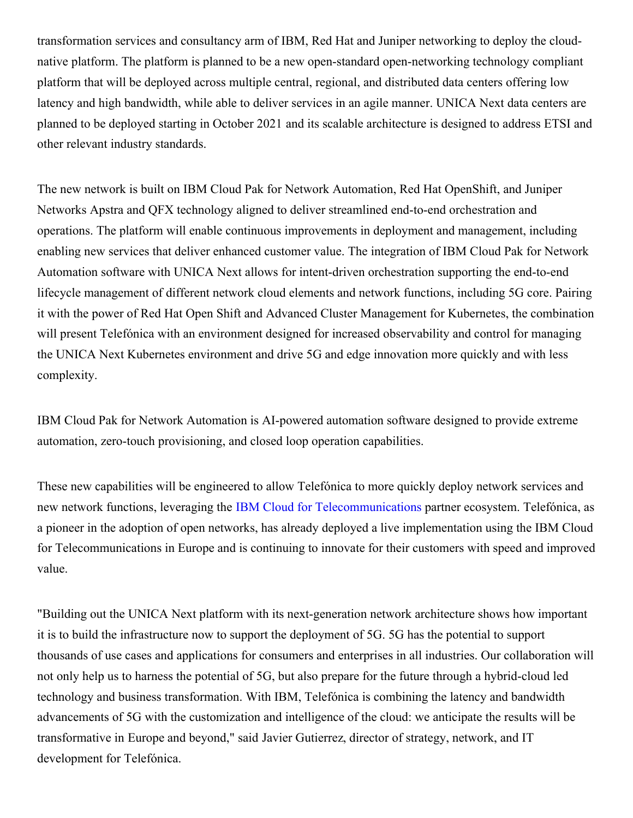transformation services and consultancy arm of IBM, Red Hat and Juniper networking to deploy the cloudnative platform. The platform is planned to be a new open-standard open-networking technology compliant platform that will be deployed across multiple central, regional, and distributed data centers offering low latency and high bandwidth, while able to deliver services in an agile manner. UNICA Next data centers are planned to be deployed starting in October 2021 and its scalable architecture is designed to address ETSI and other relevant industry standards.

The new network is built on IBM Cloud Pak for Network Automation, Red Hat OpenShift, and Juniper Networks Apstra and QFX technology aligned to deliver streamlined end-to-end orchestration and operations. The platform will enable continuous improvements in deployment and management, including enabling new services that deliver enhanced customer value. The integration of IBM Cloud Pak for Network Automation software with UNICA Next allows for intent-driven orchestration supporting the end-to-end lifecycle management of different network cloud elements and network functions, including 5G core. Pairing it with the power of Red Hat Open Shift and Advanced Cluster Management for Kubernetes, the combination will present Telefónica with an environment designed for increased observability and control for managing the UNICA Next Kubernetes environment and drive 5G and edge innovation more quickly and with less complexity.

IBM Cloud Pak for Network Automation is AI-powered automation software designed to provide extreme automation, zero-touch provisioning, and closed loop operation capabilities.

These new capabilities will be engineered to allow Telefónica to more quickly deploy network services and new network functions, leveraging the IBM Cloud for [Telecommunications](https://c212.net/c/link/?t=0&l=en&o=3300258-1&h=3644899603&u=https%3A%2F%2Fwww.ibm.com%2Findustries%2Ftelecommunications%2Fnetwork-automation&a=IBM+Cloud+for+Telecommunications) partner ecosystem. Telefónica, as a pioneer in the adoption of open networks, has already deployed a live implementation using the IBM Cloud for Telecommunications in Europe and is continuing to innovate for their customers with speed and improved value.

"Building out the UNICA Next platform with its next-generation network architecture shows how important it is to build the infrastructure now to support the deployment of 5G. 5G has the potential to support thousands of use cases and applications for consumers and enterprises in all industries. Our collaboration will not only help us to harness the potential of 5G, but also prepare for the future through a hybrid-cloud led technology and business transformation. With IBM, Telefónica is combining the latency and bandwidth advancements of 5G with the customization and intelligence of the cloud: we anticipate the results will be transformative in Europe and beyond," said Javier Gutierrez, director of strategy, network, and IT development for Telefónica.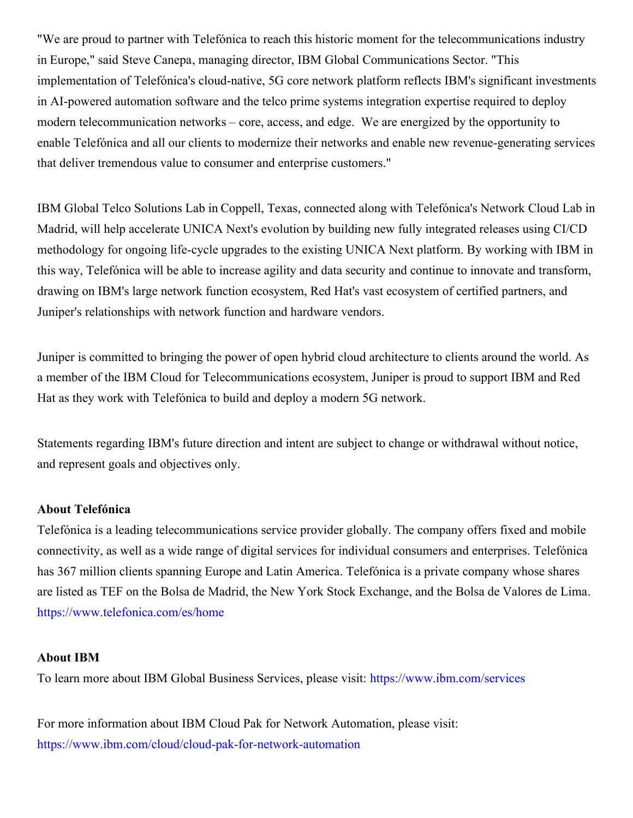"We are proud to partner with Telefónica to reach this historic moment for the telecommunications industry in Europe," said Steve Canepa, managing director, IBM Global Communications Sector. "This implementation of Telefónica's cloud-native, 5G core network platform reflects IBM's significant investments in AI-powered automation software and the telco prime systems integration expertise required to deploy modern telecommunication networks – core, access, and edge. We are energized by the opportunity to enable Telefónica and all our clients to modernize their networks and enable new revenue-generating services that deliver tremendous value to consumer and enterprise customers."

IBM Global Telco Solutions Lab in Coppell, Texas, connected along with Telefónica's Network Cloud Lab in Madrid, will help accelerate UNICA Next's evolution by building new fully integrated releases using CI/CD methodology for ongoing life-cycle upgrades to the existing UNICA Next platform. By working with IBM in this way, Telefónica will be able to increase agility and data security and continue to innovate and transform, drawing on IBM's large network function ecosystem, Red Hat's vast ecosystem of certified partners, and Juniper's relationships with network function and hardware vendors.

Juniper is committed to bringing the power of open hybrid cloud architecture to clients around the world. As a member of the IBM Cloud for Telecommunications ecosystem, Juniper is proud to support IBM and Red Hat as they work with Telefónica to build and deploy a modern 5G network.

Statements regarding IBM's future direction and intent are subject to change or withdrawal without notice, and represent goals and objectives only.

## **About Telefónica**

Telefónica is a leading telecommunications service provider globally. The company offers fixed and mobile connectivity, as well as a wide range of digital services for individual consumers and enterprises. Telefónica has 367 million clients spanning Europe and Latin America. Telefónica is a private company whose shares are listed as TEF on the Bolsa de Madrid, the New York Stock Exchange, and the Bolsa de Valores de Lima. [https://www.telefonica.com/es/home](https://c212.net/c/link/?t=0&l=en&o=3300258-1&h=787152730&u=https%3A%2F%2Fwww.telefonica.com%2Fes%2Fhome&a=https%3A%2F%2Fwww.telefonica.com%2Fes%2Fhome)

## **About IBM**

To learn more about IBM Global Business Services, please visit: [https://www.ibm.com/services](https://c212.net/c/link/?t=0&l=en&o=3300258-1&h=2233033215&u=https%3A%2F%2Fwww.ibm.com%2Fservices&a=https%3A%2F%2Fwww.ibm.com%2Fservices)

For more information about IBM Cloud Pak for Network Automation, please visit: [https://www.ibm.com/cloud/cloud-pak-for-network-automation](https://c212.net/c/link/?t=0&l=en&o=3300258-1&h=3626985439&u=https%3A%2F%2Fwww.ibm.com%2Fcloud%2Fcloud-pak-for-network-automation&a=https%3A%2F%2Fwww.ibm.com%2Fcloud%2Fcloud-pak-for-network-automation)